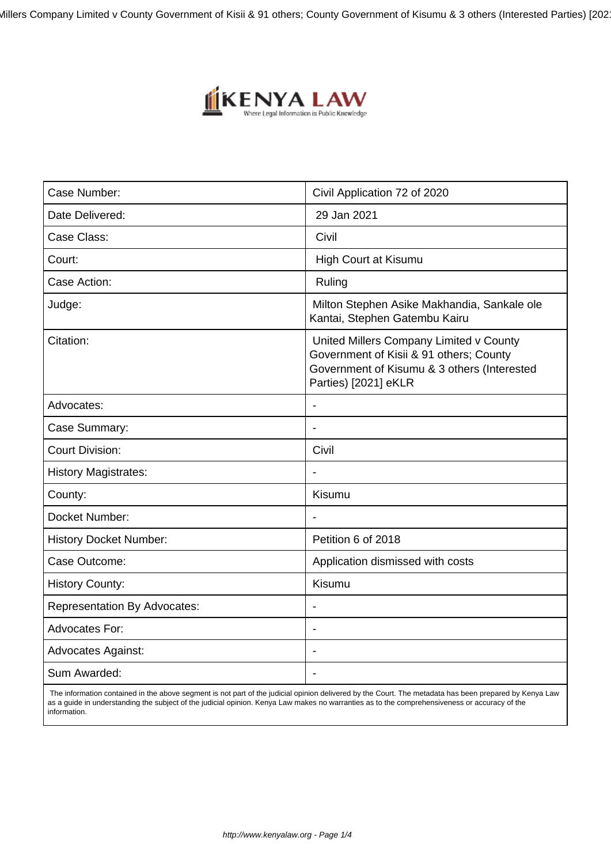Millers Company Limited v County Government of Kisii & 91 others; County Government of Kisumu & 3 others (Interested Parties) [202



| Case Number:                        | Civil Application 72 of 2020                                                                                                                              |
|-------------------------------------|-----------------------------------------------------------------------------------------------------------------------------------------------------------|
| Date Delivered:                     | 29 Jan 2021                                                                                                                                               |
| Case Class:                         | Civil                                                                                                                                                     |
| Court:                              | <b>High Court at Kisumu</b>                                                                                                                               |
| Case Action:                        | Ruling                                                                                                                                                    |
| Judge:                              | Milton Stephen Asike Makhandia, Sankale ole<br>Kantai, Stephen Gatembu Kairu                                                                              |
| Citation:                           | United Millers Company Limited v County<br>Government of Kisii & 91 others; County<br>Government of Kisumu & 3 others (Interested<br>Parties) [2021] eKLR |
| Advocates:                          |                                                                                                                                                           |
| Case Summary:                       | $\overline{\phantom{a}}$                                                                                                                                  |
| <b>Court Division:</b>              | Civil                                                                                                                                                     |
| <b>History Magistrates:</b>         |                                                                                                                                                           |
| County:                             | Kisumu                                                                                                                                                    |
| Docket Number:                      |                                                                                                                                                           |
| <b>History Docket Number:</b>       | Petition 6 of 2018                                                                                                                                        |
| Case Outcome:                       | Application dismissed with costs                                                                                                                          |
| <b>History County:</b>              | Kisumu                                                                                                                                                    |
| <b>Representation By Advocates:</b> | $\blacksquare$                                                                                                                                            |
| <b>Advocates For:</b>               |                                                                                                                                                           |
| <b>Advocates Against:</b>           |                                                                                                                                                           |
| Sum Awarded:                        |                                                                                                                                                           |
|                                     |                                                                                                                                                           |

 The information contained in the above segment is not part of the judicial opinion delivered by the Court. The metadata has been prepared by Kenya Law as a guide in understanding the subject of the judicial opinion. Kenya Law makes no warranties as to the comprehensiveness or accuracy of the information.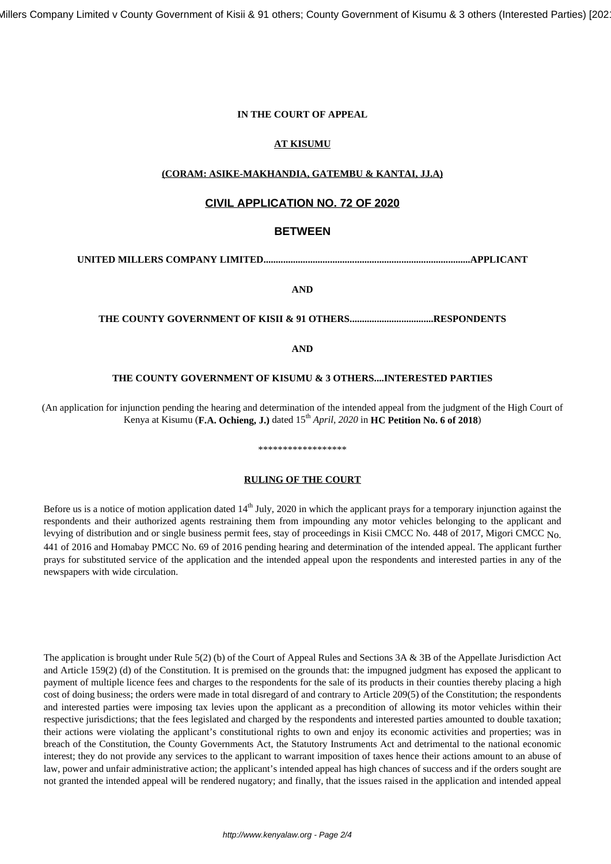Millers Company Limited v County Government of Kisii & 91 others; County Government of Kisumu & 3 others (Interested Parties) [202

#### **IN THE COURT OF APPEAL**

# **AT KISUMU**

# **(CORAM: ASIKE-MAKHANDIA, GATEMBU & KANTAI, JJ.A)**

# **CIVIL APPLICATION NO. 72 OF 2020**

# **BETWEEN**

**UNITED MILLERS COMPANY LIMITED....................................................................................APPLICANT**

**AND**

#### **THE COUNTY GOVERNMENT OF KISII & 91 OTHERS..................................RESPONDENTS**

**AND**

#### **THE COUNTY GOVERNMENT OF KISUMU & 3 OTHERS....INTERESTED PARTIES**

(An application for injunction pending the hearing and determination of the intended appeal from the judgment of the High Court of Kenya at Kisumu (**F.A. Ochieng, J.**) dated  $15<sup>th</sup> April, 2020$  in **HC Petition No. 6 of 2018**)

# \*\*\*\*\*\*\*\*\*\*\*\*\*\*\*\*

# **RULING OF THE COURT**

Before us is a notice of motion application dated 14<sup>th</sup> July, 2020 in which the applicant prays for a temporary injunction against the respondents and their authorized agents restraining them from impounding any motor vehicles belonging to the applicant and levying of distribution and or single business permit fees, stay of proceedings in Kisii CMCC No. 448 of 2017, Migori CMCC No. 441 of 2016 and Homabay PMCC No. 69 of 2016 pending hearing and determination of the intended appeal. The applicant further prays for substituted service of the application and the intended appeal upon the respondents and interested parties in any of the newspapers with wide circulation.

The application is brought under Rule 5(2) (b) of the Court of Appeal Rules and Sections 3A & 3B of the Appellate Jurisdiction Act and Article 159(2) (d) of the Constitution. It is premised on the grounds that: the impugned judgment has exposed the applicant to payment of multiple licence fees and charges to the respondents for the sale of its products in their counties thereby placing a high cost of doing business; the orders were made in total disregard of and contrary to Article 209(5) of the Constitution; the respondents and interested parties were imposing tax levies upon the applicant as a precondition of allowing its motor vehicles within their respective jurisdictions; that the fees legislated and charged by the respondents and interested parties amounted to double taxation; their actions were violating the applicant's constitutional rights to own and enjoy its economic activities and properties; was in breach of the Constitution, the County Governments Act, the Statutory Instruments Act and detrimental to the national economic interest; they do not provide any services to the applicant to warrant imposition of taxes hence their actions amount to an abuse of law, power and unfair administrative action; the applicant's intended appeal has high chances of success and if the orders sought are not granted the intended appeal will be rendered nugatory; and finally, that the issues raised in the application and intended appeal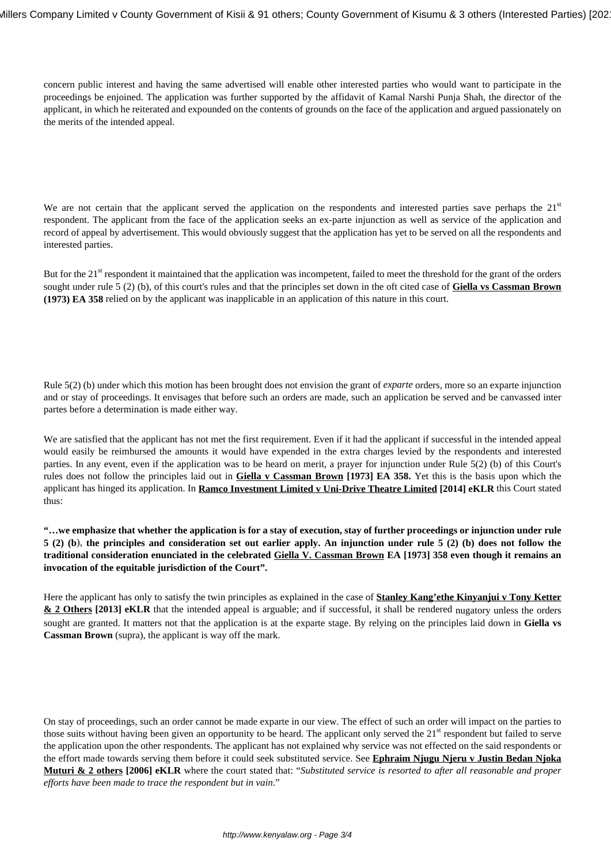concern public interest and having the same advertised will enable other interested parties who would want to participate in the proceedings be enjoined. The application was further supported by the affidavit of Kamal Narshi Punja Shah, the director of the applicant, in which he reiterated and expounded on the contents of grounds on the face of the application and argued passionately on the merits of the intended appeal.

We are not certain that the applicant served the application on the respondents and interested parties save perhaps the  $21<sup>st</sup>$ respondent. The applicant from the face of the application seeks an ex-parte injunction as well as service of the application and record of appeal by advertisement. This would obviously suggest that the application has yet to be served on all the respondents and interested parties.

But for the 21<sup>st</sup> respondent it maintained that the application was incompetent, failed to meet the threshold for the grant of the orders sought under rule 5 (2) (b), of this court's rules and that the principles set down in the oft cited case of **Giella vs Cassman Brown (1973) EA 358** relied on by the applicant was inapplicable in an application of this nature in this court.

Rule 5(2) (b) under which this motion has been brought does not envision the grant of *exparte* orders, more so an exparte injunction and or stay of proceedings. It envisages that before such an orders are made, such an application be served and be canvassed inter partes before a determination is made either way.

We are satisfied that the applicant has not met the first requirement. Even if it had the applicant if successful in the intended appeal would easily be reimbursed the amounts it would have expended in the extra charges levied by the respondents and interested parties. In any event, even if the application was to be heard on merit, a prayer for injunction under Rule 5(2) (b) of this Court's rules does not follow the principles laid out in **Giella v Cassman Brown [1973] EA 358.** Yet this is the basis upon which the applicant has hinged its application. In **Ramco Investment Limited v Uni-Drive Theatre Limited [2014] eKLR** this Court stated thus:

**"…we emphasize that whether the application is for a stay of execution, stay of further proceedings or injunction under rule 5 (2) (b**), **the principles and consideration set out earlier apply. An injunction under rule 5 (2) (b) does not follow the traditional consideration enunciated in the celebrated Giella V. Cassman Brown EA [1973] 358 even though it remains an invocation of the equitable jurisdiction of the Court".**

Here the applicant has only to satisfy the twin principles as explained in the case of **Stanley Kang'ethe Kinyanjui v Tony Ketter & 2 Others** [2013] eKLR that the intended appeal is arguable; and if successful, it shall be rendered nugatory unless the orders sought are granted. It matters not that the application is at the exparte stage. By relying on the principles laid down in **Giella vs Cassman Brown** (supra), the applicant is way off the mark.

On stay of proceedings, such an order cannot be made exparte in our view. The effect of such an order will impact on the parties to those suits without having been given an opportunity to be heard. The applicant only served the  $21<sup>st</sup>$  respondent but failed to serve the application upon the other respondents. The applicant has not explained why service was not effected on the said respondents or the effort made towards serving them before it could seek substituted service. See **Ephraim Njugu Njeru v Justin Bedan Njoka Muturi & 2 others [2006] eKLR** where the court stated that: "*Substituted service is resorted to after all reasonable and proper efforts have been made to trace the respondent but in vain*."